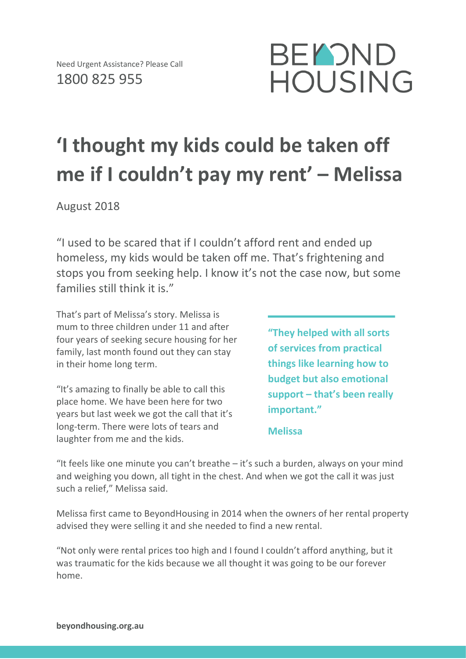

## **'I thought my kids could be taken off me if I couldn't pay my rent' – Melissa**

August 2018

"I used to be scared that if I couldn't afford rent and ended up homeless, my kids would be taken off me. That's frightening and stops you from seeking help. I know it's not the case now, but some families still think it is."

That's part of Melissa's story. Melissa is mum to three children under 11 and after four years of seeking secure housing for her family, last month found out they can stay in their home long term.

"It's amazing to finally be able to call this place home. We have been here for two years but last week we got the call that it's long-term. There were lots of tears and laughter from me and the kids.

**"They helped with all sorts of services from practical things like learning how to budget but also emotional support – that's been really important."**

**Melissa** 

"It feels like one minute you can't breathe  $-$  it's such a burden, always on your mind and weighing you down, all tight in the chest. And when we got the call it was just such a relief," Melissa said.

Melissa first came to BeyondHousing in 2014 when the owners of her rental property advised they were selling it and she needed to find a new rental.

"Not only were rental prices too high and I found I couldn't afford anything, but it was traumatic for the kids because we all thought it was going to be our forever home.